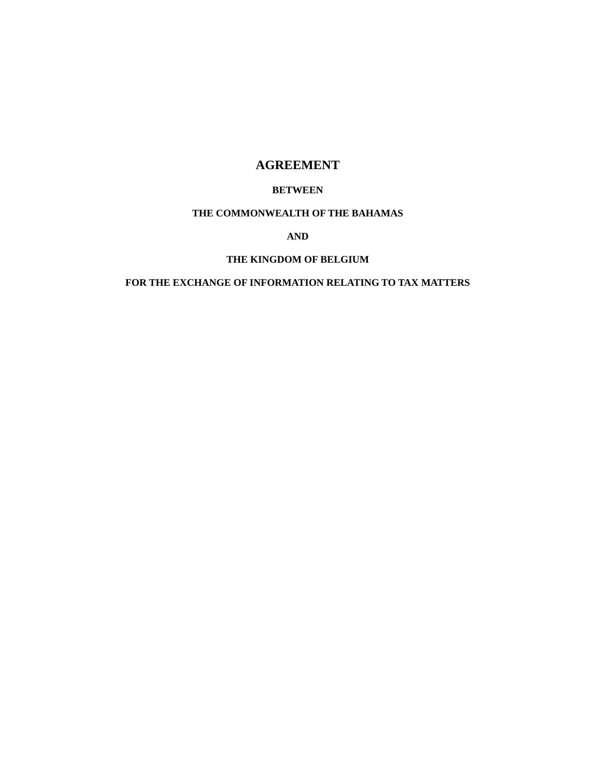# **AGREEMENT**

# **BETWEEN**

# **THE COMMONWEALTH OF THE BAHAMAS**

**AND** 

# **THE KINGDOM OF BELGIUM**

# **FOR THE EXCHANGE OF INFORMATION RELATING TO TAX MATTERS**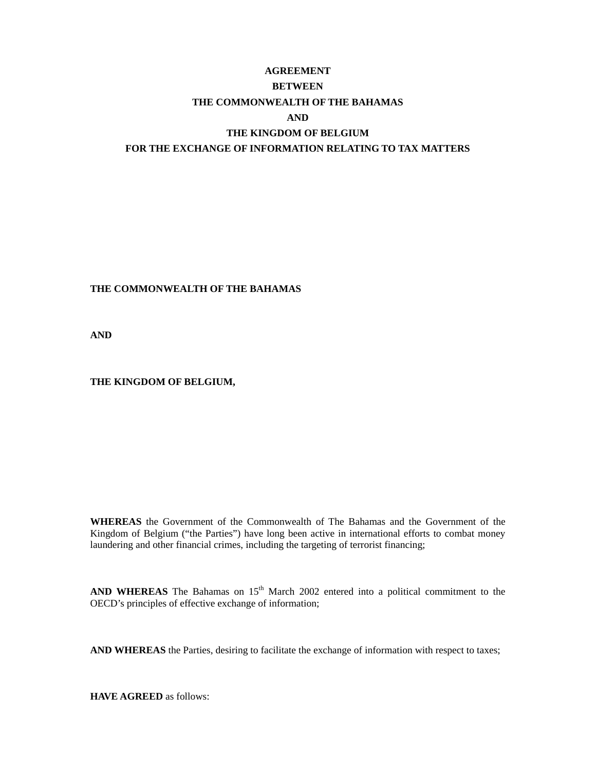# **AGREEMENT BETWEEN THE COMMONWEALTH OF THE BAHAMAS AND THE KINGDOM OF BELGIUM FOR THE EXCHANGE OF INFORMATION RELATING TO TAX MATTERS**

# **THE COMMONWEALTH OF THE BAHAMAS**

**AND** 

## **THE KINGDOM OF BELGIUM,**

**WHEREAS** the Government of the Commonwealth of The Bahamas and the Government of the Kingdom of Belgium ("the Parties") have long been active in international efforts to combat money laundering and other financial crimes, including the targeting of terrorist financing;

AND WHEREAS The Bahamas on 15<sup>th</sup> March 2002 entered into a political commitment to the OECD's principles of effective exchange of information;

**AND WHEREAS** the Parties, desiring to facilitate the exchange of information with respect to taxes;

**HAVE AGREED** as follows: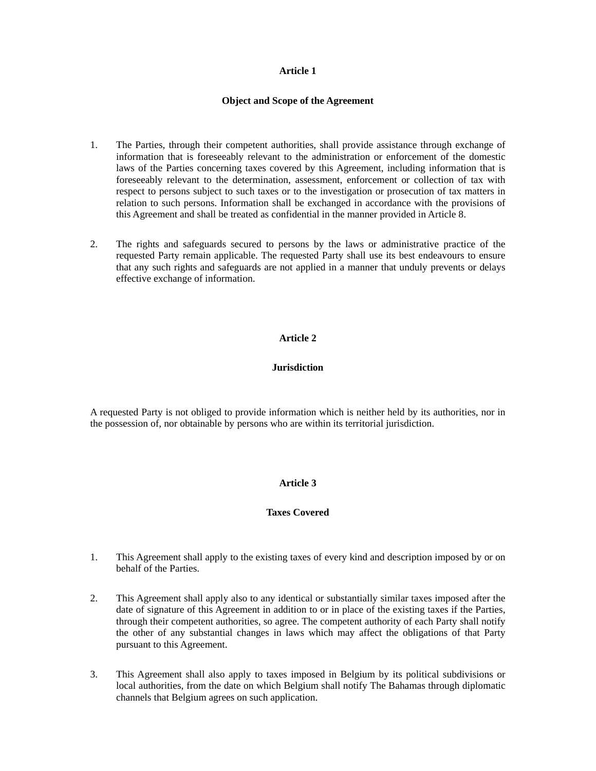#### **Object and Scope of the Agreement**

- 1. The Parties, through their competent authorities, shall provide assistance through exchange of information that is foreseeably relevant to the administration or enforcement of the domestic laws of the Parties concerning taxes covered by this Agreement, including information that is foreseeably relevant to the determination, assessment, enforcement or collection of tax with respect to persons subject to such taxes or to the investigation or prosecution of tax matters in relation to such persons. Information shall be exchanged in accordance with the provisions of this Agreement and shall be treated as confidential in the manner provided in Article 8.
- 2. The rights and safeguards secured to persons by the laws or administrative practice of the requested Party remain applicable. The requested Party shall use its best endeavours to ensure that any such rights and safeguards are not applied in a manner that unduly prevents or delays effective exchange of information.

# **Article 2**

# **Jurisdiction**

A requested Party is not obliged to provide information which is neither held by its authorities, nor in the possession of, nor obtainable by persons who are within its territorial jurisdiction.

## **Article 3**

## **Taxes Covered**

- 1. This Agreement shall apply to the existing taxes of every kind and description imposed by or on behalf of the Parties.
- 2. This Agreement shall apply also to any identical or substantially similar taxes imposed after the date of signature of this Agreement in addition to or in place of the existing taxes if the Parties, through their competent authorities, so agree. The competent authority of each Party shall notify the other of any substantial changes in laws which may affect the obligations of that Party pursuant to this Agreement.
- 3. This Agreement shall also apply to taxes imposed in Belgium by its political subdivisions or local authorities, from the date on which Belgium shall notify The Bahamas through diplomatic channels that Belgium agrees on such application.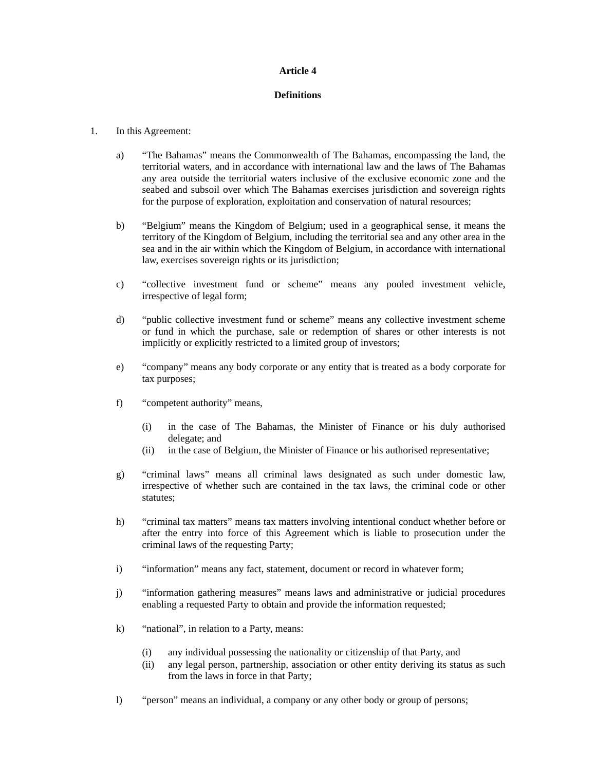#### **Definitions**

#### 1. In this Agreement:

- a) "The Bahamas" means the Commonwealth of The Bahamas, encompassing the land, the territorial waters, and in accordance with international law and the laws of The Bahamas any area outside the territorial waters inclusive of the exclusive economic zone and the seabed and subsoil over which The Bahamas exercises jurisdiction and sovereign rights for the purpose of exploration, exploitation and conservation of natural resources;
- b) "Belgium" means the Kingdom of Belgium; used in a geographical sense, it means the territory of the Kingdom of Belgium, including the territorial sea and any other area in the sea and in the air within which the Kingdom of Belgium, in accordance with international law, exercises sovereign rights or its jurisdiction;
- c) "collective investment fund or scheme" means any pooled investment vehicle, irrespective of legal form;
- d) "public collective investment fund or scheme" means any collective investment scheme or fund in which the purchase, sale or redemption of shares or other interests is not implicitly or explicitly restricted to a limited group of investors;
- e) "company" means any body corporate or any entity that is treated as a body corporate for tax purposes;
- f) "competent authority" means,
	- (i) in the case of The Bahamas, the Minister of Finance or his duly authorised delegate; and
	- (ii) in the case of Belgium, the Minister of Finance or his authorised representative;
- g) "criminal laws" means all criminal laws designated as such under domestic law, irrespective of whether such are contained in the tax laws, the criminal code or other statutes;
- h) "criminal tax matters" means tax matters involving intentional conduct whether before or after the entry into force of this Agreement which is liable to prosecution under the criminal laws of the requesting Party;
- i) "information" means any fact, statement, document or record in whatever form;
- j) "information gathering measures" means laws and administrative or judicial procedures enabling a requested Party to obtain and provide the information requested;
- k) "national", in relation to a Party, means:
	- (i) any individual possessing the nationality or citizenship of that Party, and
	- (ii) any legal person, partnership, association or other entity deriving its status as such from the laws in force in that Party;
- l) "person" means an individual, a company or any other body or group of persons;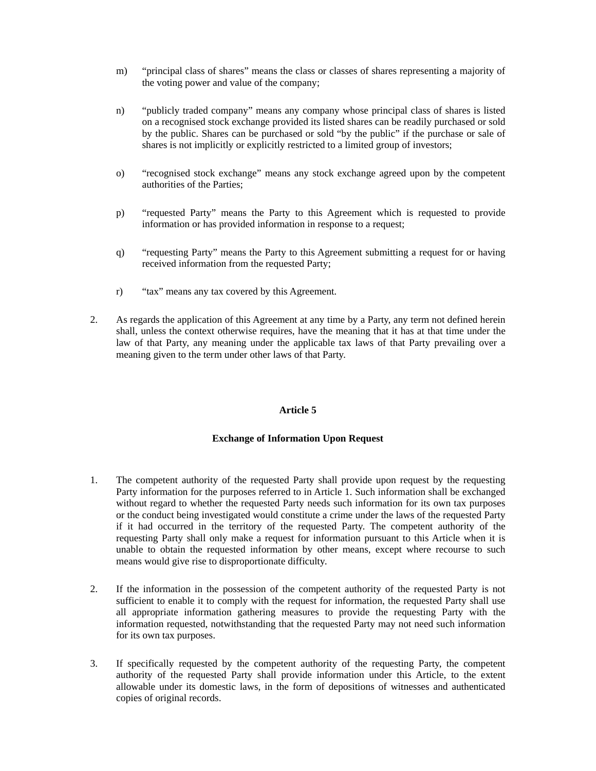- m) "principal class of shares" means the class or classes of shares representing a majority of the voting power and value of the company;
- n) "publicly traded company" means any company whose principal class of shares is listed on a recognised stock exchange provided its listed shares can be readily purchased or sold by the public. Shares can be purchased or sold "by the public" if the purchase or sale of shares is not implicitly or explicitly restricted to a limited group of investors;
- o) "recognised stock exchange" means any stock exchange agreed upon by the competent authorities of the Parties;
- p) "requested Party" means the Party to this Agreement which is requested to provide information or has provided information in response to a request;
- q) "requesting Party" means the Party to this Agreement submitting a request for or having received information from the requested Party;
- r) "tax" means any tax covered by this Agreement.
- 2. As regards the application of this Agreement at any time by a Party, any term not defined herein shall, unless the context otherwise requires, have the meaning that it has at that time under the law of that Party, any meaning under the applicable tax laws of that Party prevailing over a meaning given to the term under other laws of that Party.

## **Exchange of Information Upon Request**

- 1. The competent authority of the requested Party shall provide upon request by the requesting Party information for the purposes referred to in Article 1. Such information shall be exchanged without regard to whether the requested Party needs such information for its own tax purposes or the conduct being investigated would constitute a crime under the laws of the requested Party if it had occurred in the territory of the requested Party. The competent authority of the requesting Party shall only make a request for information pursuant to this Article when it is unable to obtain the requested information by other means, except where recourse to such means would give rise to disproportionate difficulty.
- 2. If the information in the possession of the competent authority of the requested Party is not sufficient to enable it to comply with the request for information, the requested Party shall use all appropriate information gathering measures to provide the requesting Party with the information requested, notwithstanding that the requested Party may not need such information for its own tax purposes.
- 3. If specifically requested by the competent authority of the requesting Party, the competent authority of the requested Party shall provide information under this Article, to the extent allowable under its domestic laws, in the form of depositions of witnesses and authenticated copies of original records.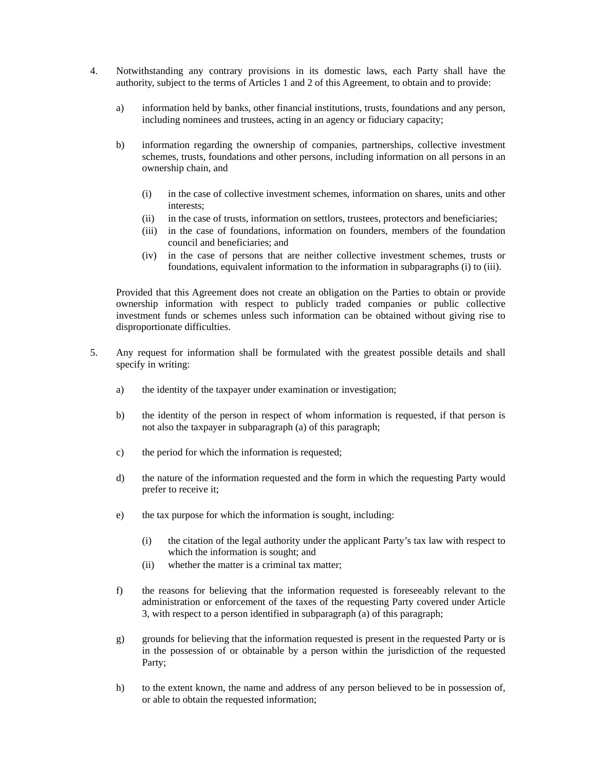- 4. Notwithstanding any contrary provisions in its domestic laws, each Party shall have the authority, subject to the terms of Articles 1 and 2 of this Agreement, to obtain and to provide:
	- a) information held by banks, other financial institutions, trusts, foundations and any person, including nominees and trustees, acting in an agency or fiduciary capacity;
	- b) information regarding the ownership of companies, partnerships, collective investment schemes, trusts, foundations and other persons, including information on all persons in an ownership chain, and
		- (i) in the case of collective investment schemes, information on shares, units and other interests;
		- (ii) in the case of trusts, information on settlors, trustees, protectors and beneficiaries;
		- (iii) in the case of foundations, information on founders, members of the foundation council and beneficiaries; and
		- (iv) in the case of persons that are neither collective investment schemes, trusts or foundations, equivalent information to the information in subparagraphs (i) to (iii).

Provided that this Agreement does not create an obligation on the Parties to obtain or provide ownership information with respect to publicly traded companies or public collective investment funds or schemes unless such information can be obtained without giving rise to disproportionate difficulties.

- 5. Any request for information shall be formulated with the greatest possible details and shall specify in writing:
	- a) the identity of the taxpayer under examination or investigation;
	- b) the identity of the person in respect of whom information is requested, if that person is not also the taxpayer in subparagraph (a) of this paragraph;
	- c) the period for which the information is requested;
	- d) the nature of the information requested and the form in which the requesting Party would prefer to receive it;
	- e) the tax purpose for which the information is sought, including:
		- (i) the citation of the legal authority under the applicant Party's tax law with respect to which the information is sought; and
		- (ii) whether the matter is a criminal tax matter;
	- f) the reasons for believing that the information requested is foreseeably relevant to the administration or enforcement of the taxes of the requesting Party covered under Article 3, with respect to a person identified in subparagraph (a) of this paragraph;
	- g) grounds for believing that the information requested is present in the requested Party or is in the possession of or obtainable by a person within the jurisdiction of the requested Party;
	- h) to the extent known, the name and address of any person believed to be in possession of, or able to obtain the requested information;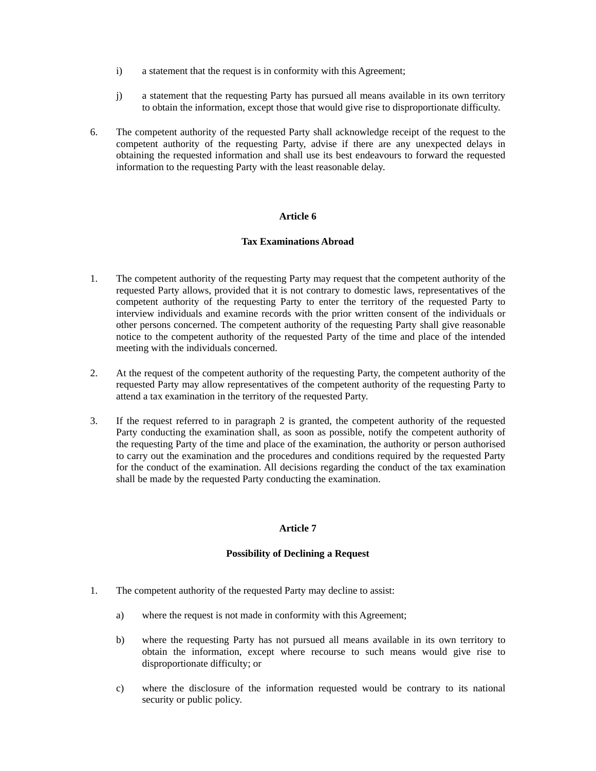- i) a statement that the request is in conformity with this Agreement;
- j) a statement that the requesting Party has pursued all means available in its own territory to obtain the information, except those that would give rise to disproportionate difficulty.
- 6. The competent authority of the requested Party shall acknowledge receipt of the request to the competent authority of the requesting Party, advise if there are any unexpected delays in obtaining the requested information and shall use its best endeavours to forward the requested information to the requesting Party with the least reasonable delay.

# **Tax Examinations Abroad**

- 1. The competent authority of the requesting Party may request that the competent authority of the requested Party allows, provided that it is not contrary to domestic laws, representatives of the competent authority of the requesting Party to enter the territory of the requested Party to interview individuals and examine records with the prior written consent of the individuals or other persons concerned. The competent authority of the requesting Party shall give reasonable notice to the competent authority of the requested Party of the time and place of the intended meeting with the individuals concerned.
- 2. At the request of the competent authority of the requesting Party, the competent authority of the requested Party may allow representatives of the competent authority of the requesting Party to attend a tax examination in the territory of the requested Party.
- 3. If the request referred to in paragraph 2 is granted, the competent authority of the requested Party conducting the examination shall, as soon as possible, notify the competent authority of the requesting Party of the time and place of the examination, the authority or person authorised to carry out the examination and the procedures and conditions required by the requested Party for the conduct of the examination. All decisions regarding the conduct of the tax examination shall be made by the requested Party conducting the examination.

## **Article 7**

## **Possibility of Declining a Request**

- 1. The competent authority of the requested Party may decline to assist:
	- a) where the request is not made in conformity with this Agreement;
	- b) where the requesting Party has not pursued all means available in its own territory to obtain the information, except where recourse to such means would give rise to disproportionate difficulty; or
	- c) where the disclosure of the information requested would be contrary to its national security or public policy.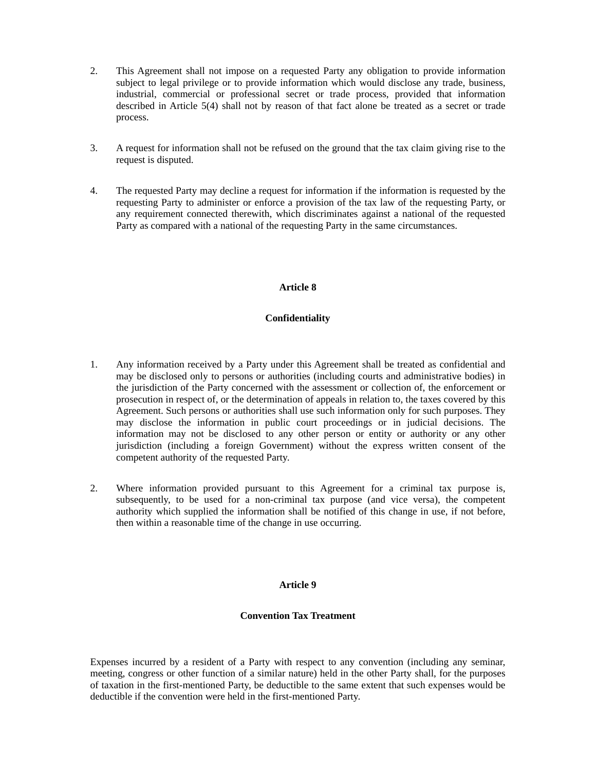- 2. This Agreement shall not impose on a requested Party any obligation to provide information subject to legal privilege or to provide information which would disclose any trade, business, industrial, commercial or professional secret or trade process, provided that information described in Article 5(4) shall not by reason of that fact alone be treated as a secret or trade process.
- 3. A request for information shall not be refused on the ground that the tax claim giving rise to the request is disputed.
- 4. The requested Party may decline a request for information if the information is requested by the requesting Party to administer or enforce a provision of the tax law of the requesting Party, or any requirement connected therewith, which discriminates against a national of the requested Party as compared with a national of the requesting Party in the same circumstances.

## **Confidentiality**

- 1. Any information received by a Party under this Agreement shall be treated as confidential and may be disclosed only to persons or authorities (including courts and administrative bodies) in the jurisdiction of the Party concerned with the assessment or collection of, the enforcement or prosecution in respect of, or the determination of appeals in relation to, the taxes covered by this Agreement. Such persons or authorities shall use such information only for such purposes. They may disclose the information in public court proceedings or in judicial decisions. The information may not be disclosed to any other person or entity or authority or any other jurisdiction (including a foreign Government) without the express written consent of the competent authority of the requested Party.
- 2. Where information provided pursuant to this Agreement for a criminal tax purpose is, subsequently, to be used for a non-criminal tax purpose (and vice versa), the competent authority which supplied the information shall be notified of this change in use, if not before, then within a reasonable time of the change in use occurring.

## **Article 9**

# **Convention Tax Treatment**

Expenses incurred by a resident of a Party with respect to any convention (including any seminar, meeting, congress or other function of a similar nature) held in the other Party shall, for the purposes of taxation in the first-mentioned Party, be deductible to the same extent that such expenses would be deductible if the convention were held in the first-mentioned Party.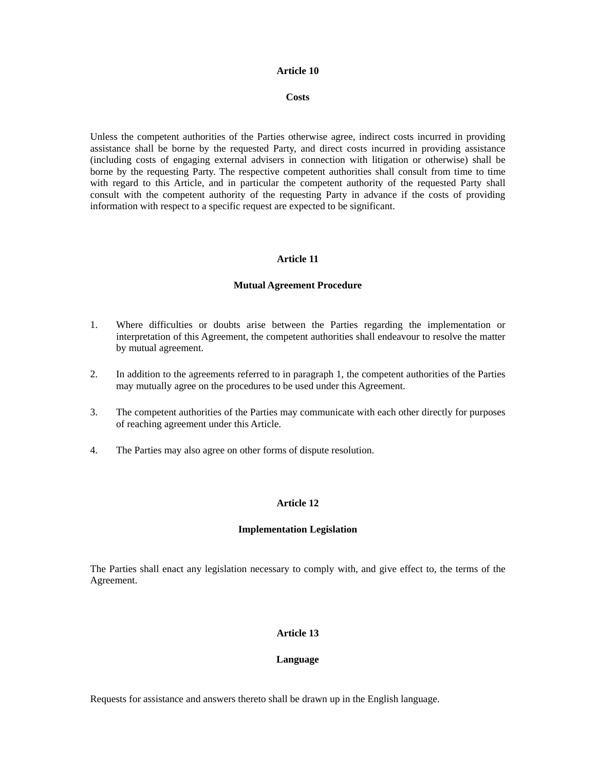#### **Costs**

Unless the competent authorities of the Parties otherwise agree, indirect costs incurred in providing assistance shall be borne by the requested Party, and direct costs incurred in providing assistance (including costs of engaging external advisers in connection with litigation or otherwise) shall be borne by the requesting Party. The respective competent authorities shall consult from time to time with regard to this Article, and in particular the competent authority of the requested Party shall consult with the competent authority of the requesting Party in advance if the costs of providing information with respect to a specific request are expected to be significant.

#### **Article 11**

#### **Mutual Agreement Procedure**

- 1. Where difficulties or doubts arise between the Parties regarding the implementation or interpretation of this Agreement, the competent authorities shall endeavour to resolve the matter by mutual agreement.
- 2. In addition to the agreements referred to in paragraph 1, the competent authorities of the Parties may mutually agree on the procedures to be used under this Agreement.
- 3. The competent authorities of the Parties may communicate with each other directly for purposes of reaching agreement under this Article.
- 4. The Parties may also agree on other forms of dispute resolution.

## **Article 12**

#### **Implementation Legislation**

The Parties shall enact any legislation necessary to comply with, and give effect to, the terms of the Agreement.

#### **Article 13**

#### **Language**

Requests for assistance and answers thereto shall be drawn up in the English language.